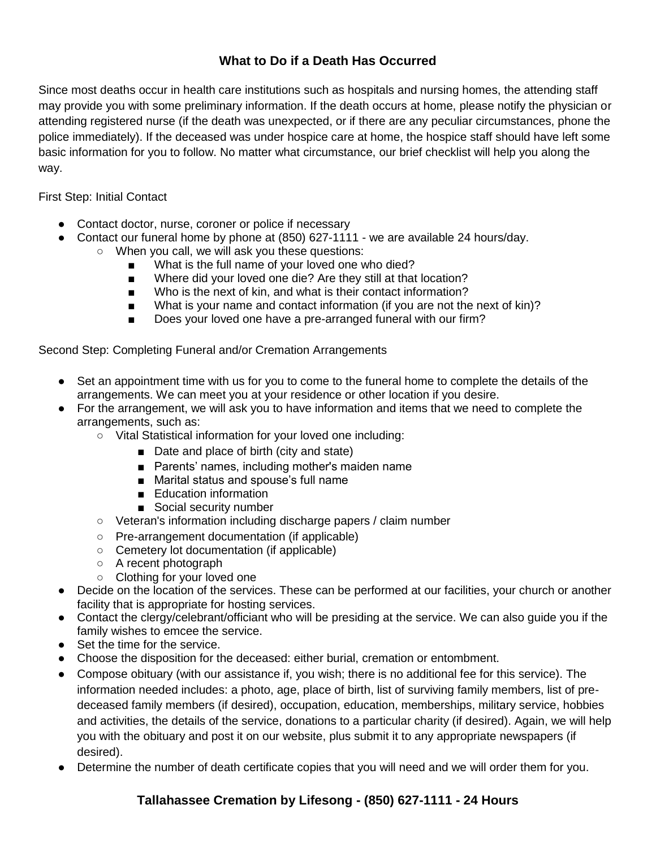## **What to Do if a Death Has Occurred**

Since most deaths occur in health care institutions such as hospitals and nursing homes, the attending staff may provide you with some preliminary information. If the death occurs at home, please notify the physician or attending registered nurse (if the death was unexpected, or if there are any peculiar circumstances, phone the police immediately). If the deceased was under hospice care at home, the hospice staff should have left some basic information for you to follow. No matter what circumstance, our brief checklist will help you along the way.

### First Step: Initial Contact

- Contact doctor, nurse, coroner or police if necessary
- Contact our funeral home by phone at (850) 627-1111 we are available 24 hours/day.
	- When you call, we will ask you these questions:
		- What is the full name of your loved one who died?
		- Where did your loved one die? Are they still at that location?
		- Who is the next of kin, and what is their contact information?
		- What is your name and contact information (if you are not the next of kin)?
		- Does your loved one have a pre-arranged funeral with our firm?

### Second Step: Completing Funeral and/or Cremation Arrangements

- Set an appointment time with us for you to come to the funeral home to complete the details of the arrangements. We can meet you at your residence or other location if you desire.
- For the arrangement, we will ask you to have information and items that we need to complete the arrangements, such as:
	- Vital Statistical information for your loved one including:
		- Date and place of birth (city and state)
		- Parents' names, including mother's maiden name
		- Marital status and spouse's full name
		- Education information
		- Social security number
	- Veteran's information including discharge papers / claim number
	- Pre-arrangement documentation (if applicable)
	- Cemetery lot documentation (if applicable)
	- A recent photograph
	- Clothing for your loved one
- Decide on the location of the services. These can be performed at our facilities, your church or another facility that is appropriate for hosting services.
- Contact the clergy/celebrant/officiant who will be presiding at the service. We can also guide you if the family wishes to emcee the service.
- Set the time for the service.
- Choose the disposition for the deceased: either burial, cremation or entombment.
- Compose obituary (with our assistance if, you wish; there is no additional fee for this service). The information needed includes: a photo, age, place of birth, list of surviving family members, list of predeceased family members (if desired), occupation, education, memberships, military service, hobbies and activities, the details of the service, donations to a particular charity (if desired). Again, we will help you with the obituary and post it on our website, plus submit it to any appropriate newspapers (if desired).
- Determine the number of death certificate copies that you will need and we will order them for you.

# **Tallahassee Cremation by Lifesong - (850) 627-1111 - 24 Hours**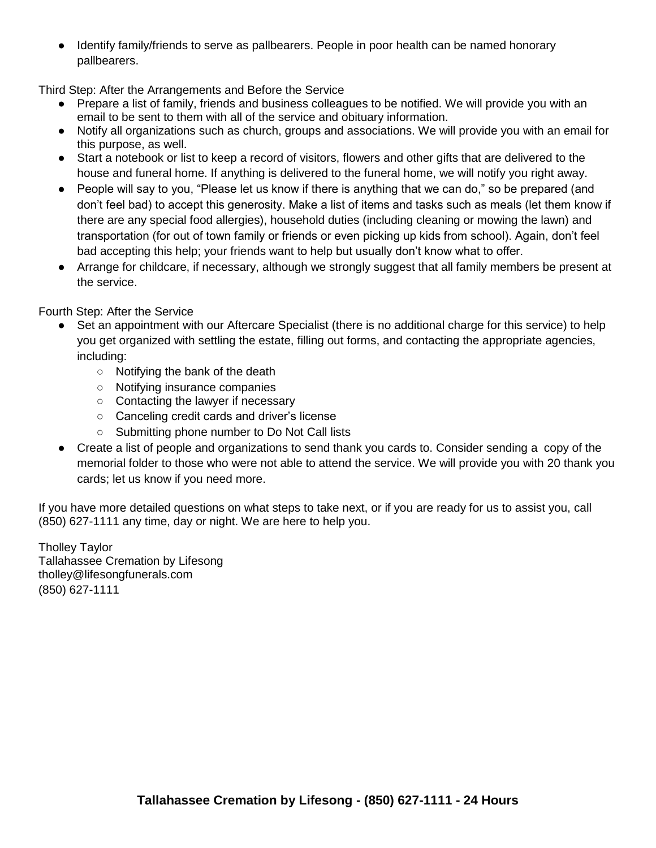● Identify family/friends to serve as pallbearers. People in poor health can be named honorary pallbearers.

Third Step: After the Arrangements and Before the Service

- Prepare a list of family, friends and business colleagues to be notified. We will provide you with an email to be sent to them with all of the service and obituary information.
- Notify all organizations such as church, groups and associations. We will provide you with an email for this purpose, as well.
- Start a notebook or list to keep a record of visitors, flowers and other gifts that are delivered to the house and funeral home. If anything is delivered to the funeral home, we will notify you right away.
- People will say to you, "Please let us know if there is anything that we can do," so be prepared (and don't feel bad) to accept this generosity. Make a list of items and tasks such as meals (let them know if there are any special food allergies), household duties (including cleaning or mowing the lawn) and transportation (for out of town family or friends or even picking up kids from school). Again, don't feel bad accepting this help; your friends want to help but usually don't know what to offer.
- Arrange for childcare, if necessary, although we strongly suggest that all family members be present at the service.

Fourth Step: After the Service

- Set an appointment with our Aftercare Specialist (there is no additional charge for this service) to help you get organized with settling the estate, filling out forms, and contacting the appropriate agencies, including:
	- Notifying the bank of the death
	- Notifying insurance companies
	- Contacting the lawyer if necessary
	- Canceling credit cards and driver's license
	- Submitting phone number to Do Not Call lists
- Create a list of people and organizations to send thank you cards to. Consider sending a copy of the memorial folder to those who were not able to attend the service. We will provide you with 20 thank you cards; let us know if you need more.

If you have more detailed questions on what steps to take next, or if you are ready for us to assist you, call (850) 627-1111 any time, day or night. We are here to help you.

Tholley Taylor Tallahassee Cremation by Lifesong tholley@lifesongfunerals.com (850) 627-1111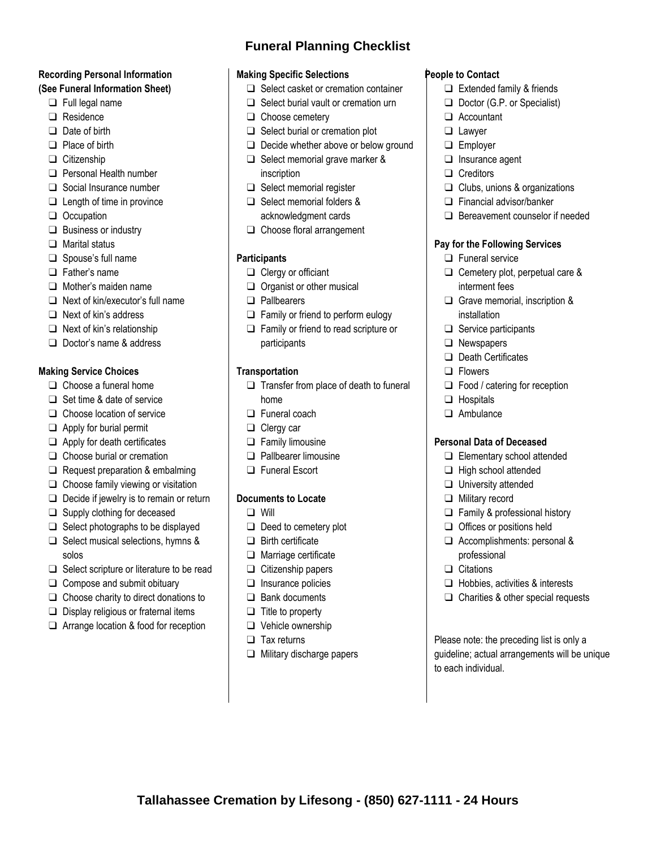### **Recording Personal Information (See Funeral Information Sheet)**

- ❑ Full legal name
- ❑ Residence
- ❑ Date of birth
- ❑ Place of birth
- ❑ Citizenship
- ❑ Personal Health number
- ❑ Social Insurance number
- ❑ Length of time in province
- ❑ Occupation
- ❑ Business or industry
- ❑ Marital status
- ❑ Spouse's full name
- ❑ Father's name
- ❑ Mother's maiden name
- ❑ Next of kin/executor's full name
- ❑ Next of kin's address
- ❑ Next of kin's relationship
- ❑ Doctor's name & address

#### **Making Service Choices**

- ❑ Choose a funeral home
- ❑ Set time & date of service
- ❑ Choose location of service
- ❑ Apply for burial permit
- ❑ Apply for death certificates
- ❑ Choose burial or cremation
- ❑ Request preparation & embalming
- ❑ Choose family viewing or visitation
- ❑ Decide if jewelry is to remain or return
- ❑ Supply clothing for deceased
- ❑ Select photographs to be displayed ❑ Select musical selections, hymns &
- solos
- ❑ Select scripture or literature to be read
- ❑ Compose and submit obituary
- ❑ Choose charity to direct donations to
- ❑ Display religious or fraternal items
- ❑ Arrange location & food for reception

# **Funeral Planning Checklist**

### **Making Specific Selections**

- ❑ Select casket or cremation container
- ❑ Select burial vault or cremation urn
- ❑ Choose cemetery
- ❑ Select burial or cremation plot
- ❑ Decide whether above or below ground
- ❑ Select memorial grave marker & inscription
- ❑ Select memorial register
- ❑ Select memorial folders & acknowledgment cards
- ❑ Choose floral arrangement

#### **Participants**

- ❑ Clergy or officiant
- ❑ Organist or other musical
- ❑ Pallbearers
- ❑ Family or friend to perform eulogy
- ❑ Family or friend to read scripture or participants

#### **Transportation**

- ❑ Transfer from place of death to funeral home
- ❑ Funeral coach
- ❑ Clergy car
- ❑ Family limousine
- ❑ Pallbearer limousine
- ❑ Funeral Escort

#### **Documents to Locate**

- ❑ Will
- ❑ Deed to cemetery plot
- ❑ Birth certificate
- ❑ Marriage certificate
- ❑ Citizenship papers
- ❑ Insurance policies
- ❑ Bank documents
- ❑ Title to property
- ❑ Vehicle ownership
- ❑ Tax returns
- ❑ Military discharge papers

**Tallahassee Cremation by Lifesong - (850) 627-1111 - 24 Hours**

### **People to Contact**

- ❑ Extended family & friends
- ❑ Doctor (G.P. or Specialist)
- ❑ Accountant
- ❑ Lawyer
- ❑ Employer
- ❑ Insurance agent
- ❑ Creditors
- ❑ Clubs, unions & organizations
- ❑ Financial advisor/banker
- ❑ Bereavement counselor if needed

#### **Pay for the Following Services**

- ❑ Funeral service
- ❑ Cemetery plot, perpetual care & interment fees
- ❑ Grave memorial, inscription & installation
- ❑ Service participants
- ❑ Newspapers
- ❑ Death Certificates
- ❑ Flowers
- ❑ Food / catering for reception
- ❑ Hospitals
- ❑ Ambulance

#### **Personal Data of Deceased**

❑ Elementary school attended

❑ Family & professional history ❑ Offices or positions held ❑ Accomplishments: personal &

❑ Hobbies, activities & interests ❑ Charities & other special requests

Please note: the preceding list is only a guideline; actual arrangements will be unique

- ❑ High school attended
- ❑ University attended
- ❑ Military record

professional ❑ Citations

to each individual.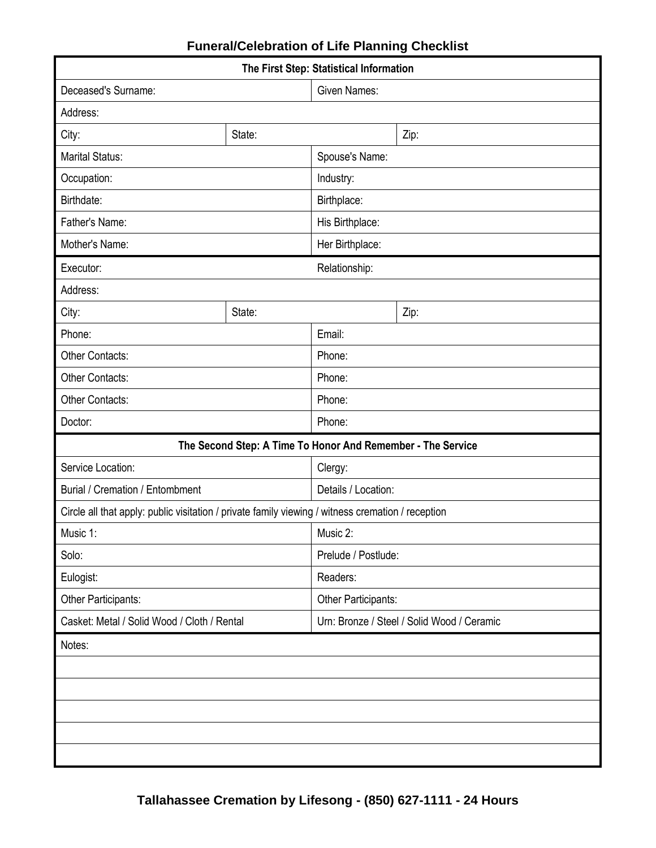| The First Step: Statistical Information                                                           |        |                                            |      |  |  |  |
|---------------------------------------------------------------------------------------------------|--------|--------------------------------------------|------|--|--|--|
| Deceased's Surname:                                                                               |        | <b>Given Names:</b>                        |      |  |  |  |
| Address:                                                                                          |        |                                            |      |  |  |  |
| City:                                                                                             | State: |                                            | Zip: |  |  |  |
| <b>Marital Status:</b>                                                                            |        | Spouse's Name:                             |      |  |  |  |
| Occupation:                                                                                       |        | Industry:                                  |      |  |  |  |
| Birthdate:                                                                                        |        | Birthplace:                                |      |  |  |  |
| Father's Name:                                                                                    |        | His Birthplace:                            |      |  |  |  |
| Mother's Name:                                                                                    |        | Her Birthplace:                            |      |  |  |  |
| Executor:                                                                                         |        | Relationship:                              |      |  |  |  |
| Address:                                                                                          |        |                                            |      |  |  |  |
| City:                                                                                             | State: |                                            | Zip: |  |  |  |
| Phone:                                                                                            |        | Email:                                     |      |  |  |  |
| Other Contacts:                                                                                   |        | Phone:                                     |      |  |  |  |
| Other Contacts:                                                                                   |        | Phone:                                     |      |  |  |  |
| Other Contacts:                                                                                   |        | Phone:                                     |      |  |  |  |
| Doctor:                                                                                           |        | Phone:                                     |      |  |  |  |
| The Second Step: A Time To Honor And Remember - The Service                                       |        |                                            |      |  |  |  |
| Service Location:                                                                                 |        | Clergy:                                    |      |  |  |  |
| <b>Burial / Cremation / Entombment</b>                                                            |        | Details / Location:                        |      |  |  |  |
| Circle all that apply: public visitation / private family viewing / witness cremation / reception |        |                                            |      |  |  |  |
| Music 1:                                                                                          |        | Music 2:                                   |      |  |  |  |
| Solo:                                                                                             |        | Prelude / Postlude:                        |      |  |  |  |
| Eulogist:                                                                                         |        | Readers:                                   |      |  |  |  |
| Other Participants:                                                                               |        | Other Participants:                        |      |  |  |  |
| Casket: Metal / Solid Wood / Cloth / Rental                                                       |        | Urn: Bronze / Steel / Solid Wood / Ceramic |      |  |  |  |
| Notes:                                                                                            |        |                                            |      |  |  |  |
|                                                                                                   |        |                                            |      |  |  |  |
|                                                                                                   |        |                                            |      |  |  |  |
|                                                                                                   |        |                                            |      |  |  |  |
|                                                                                                   |        |                                            |      |  |  |  |
|                                                                                                   |        |                                            |      |  |  |  |